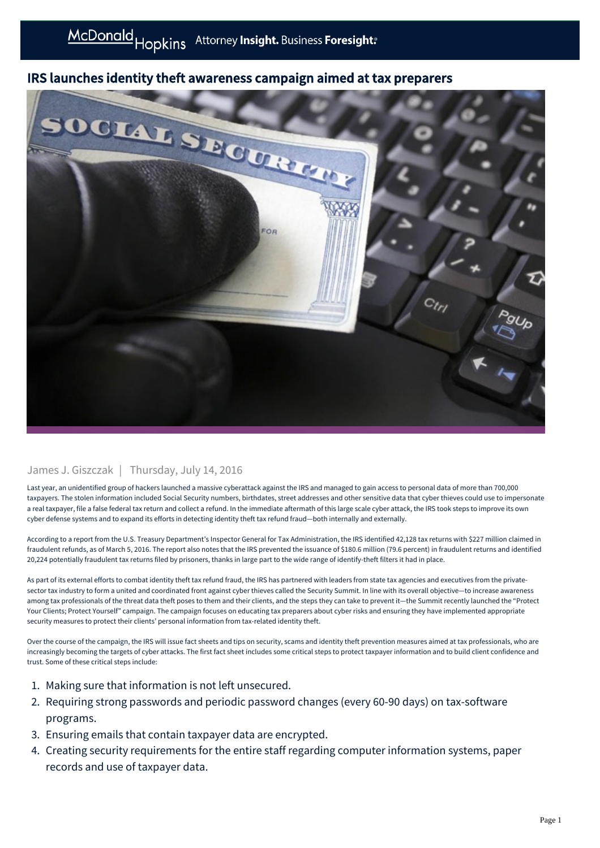## IRS launches identity theft awareness campaign aimed at tax preparers



## James J. Giszczak | Thursday, July 14, 2016

Last year, an unidentified group of hackers launched a massive cyberattack against the IRS and managed to gain access to personal data of more than 700,000 taxpayers. The stolen information included Social Security numbers, birthdates, street addresses and other sensitive data that cyber thieves could use to impersonate a real taxpayer, file a false federal tax return and collect a refund. In the immediate aftermath of this large scale cyber attack, the IRS took steps to improve its own cyber defense systems and to expand its efforts in detecting identity theft tax refund fraud—both internally and externally.

According to a report from the U.S. Treasury Department's Inspector General for Tax Administration, the IRS identified 42,128 tax returns with \$227 million claimed in fraudulent refunds, as of March 5, 2016. The report also notes that the IRS prevented the issuance of \$180.6 million (79.6 percent) in fraudulent returns and identified 20,224 potentially fraudulent tax returns filed by prisoners, thanks in large part to the wide range of identify-theft filters it had in place.

As part of its external efforts to combat identity theft tax refund fraud, the IRS has partnered with leaders from state tax agencies and executives from the privatesector tax industry to form a united and coordinated front against cyber thieves called the Security Summit. In line with its overall objective-to increase awareness among tax professionals of the threat data theft poses to them and their clients, and the steps they can take to prevent it—the Summit recently launched the "Protect Your Clients; Protect Yourself" campaign. The campaign focuses on educating tax preparers about cyber risks and ensuring they have implemented appropriate security measures to protect their clients' personal information from tax-related identity theft.

Over the course of the campaign, the IRS will issue fact sheets and tips on security, scams and identity theft prevention measures aimed at tax professionals, who are increasingly becoming the targets of cyber attacks. The first fact sheet includes some critical steps to protect taxpayer information and to build client confidence and trust. Some of these critical steps include:

- 1. Making sure that information is not left unsecured.
- 2. Requiring strong passwords and periodic password changes (every 60-90 days) on tax-software programs.
- 3. Ensuring emails that contain taxpayer data are encrypted.
- 4. Creating security requirements for the entire staff regarding computer information systems, paper records and use of taxpayer data.